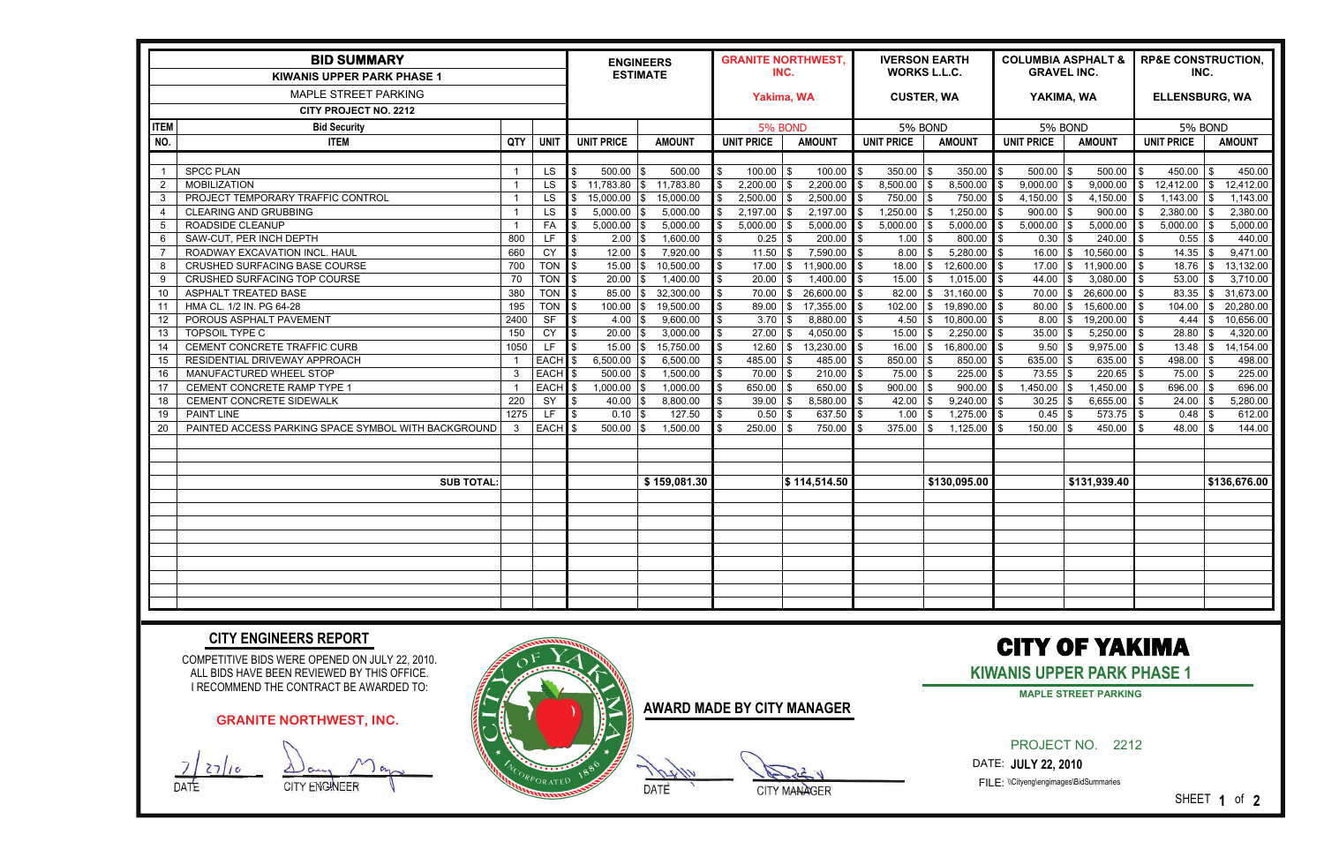| <b>BID SUMMARY</b><br><b>KIWANIS UPPER PARK PHASE 1</b> |                                                     |              |                   | <b>ENGINEERS</b><br><b>ESTIMATE</b> |                   | <b>GRANITE NORTHWEST,</b><br>INC. |                       | <b>IVERSON EARTH</b><br><b>WORKS L.L.C.</b> |                                     | <b>COLUMBIA ASPHALT &amp;</b><br><b>GRAVEL INC.</b> |                  | <b>RP&amp;E CONSTRUCTION,</b><br>INC. |                  |
|---------------------------------------------------------|-----------------------------------------------------|--------------|-------------------|-------------------------------------|-------------------|-----------------------------------|-----------------------|---------------------------------------------|-------------------------------------|-----------------------------------------------------|------------------|---------------------------------------|------------------|
|                                                         |                                                     |              |                   |                                     |                   | Yakima, WA                        |                       | <b>CUSTER, WA</b>                           |                                     | YAKIMA, WA                                          |                  | <b>ELLENSBURG, WA</b>                 |                  |
| MAPLE STREET PARKING                                    |                                                     |              |                   |                                     |                   |                                   |                       |                                             |                                     |                                                     |                  |                                       |                  |
| <b>CITY PROJECT NO. 2212</b>                            |                                                     |              |                   |                                     |                   |                                   |                       |                                             |                                     |                                                     |                  |                                       |                  |
| <b>ITEM</b>                                             | <b>Bid Security</b>                                 |              |                   |                                     |                   | 5% BOND                           |                       | 5% BOND                                     |                                     | 5% BOND                                             |                  | 5% BOND                               |                  |
| NO.                                                     | <b>ITEM</b>                                         | <b>QTY</b>   | <b>UNIT</b>       | <b>UNIT PRICE</b>                   | <b>AMOUNT</b>     | <b>UNIT PRICE</b>                 | <b>AMOUNT</b>         | <b>UNIT PRICE</b>                           | <b>AMOUNT</b>                       | <b>UNIT PRICE</b>                                   | <b>AMOUNT</b>    | <b>UNIT PRICE</b>                     | <b>AMOUNT</b>    |
|                                                         |                                                     |              |                   |                                     |                   |                                   |                       |                                             |                                     |                                                     |                  |                                       |                  |
| -1                                                      | <b>SPCC PLAN</b>                                    | - 1          | <b>LS</b>         | 500.00                              | 500.00<br>1\$     | $100.00$ \\$<br>\$                | 100.00                | 350.00                                      | 350.00<br>\$.                       | $500.00$ \\$                                        | 500.00           | 450.00                                | 450.00<br>-SG    |
| 2                                                       | <b>MOBILIZATION</b>                                 |              | <b>LS</b>         | $11,783.80$ \\$                     | 11,783.80         | $2,200.00$ \ \$                   | 2,200.00              | 8,500.00                                    | 8,500.00<br>\$.                     | $9,000.00$ \$                                       | 9,000.00         | 12,412.00                             | 12,412.00<br>\$  |
| -3                                                      | PROJECT TEMPORARY TRAFFIC CONTROL                   | - 1          | <b>LS</b>         | 15,000.00 \\$                       | 15,000.00         | 2,500.00                          | 2,500.00<br>l \$      | 750.00                                      | 750.00<br>\$                        | $4,150.00$ \$                                       | 4,150.00         | 1,143.00                              | 1,143.00<br>\$   |
| -4                                                      | <b>CLEARING AND GRUBBING</b>                        |              | <b>LS</b>         | $5,000.00$ \\$                      | 5,000.00          | 2,197.00                          | 2,197.00              | 1,250.00                                    | 1,250.00                            | $900.00$ \\$                                        | 900.00           | 2,380.00                              | 2,380.00<br>\$   |
| -5                                                      | ROADSIDE CLEANUP                                    |              | FA                | 5,000.00                            | 5,000.00<br>I \$  | 5,000.00                          | 5,000.00              | 5,000.00                                    | 5,000.00<br>\$                      | 5,000.00                                            | 5,000.00<br>-\$  | 5,000.00                              | 5,000.00<br>\$   |
| 6                                                       | SAW-CUT, PER INCH DEPTH                             | 800          | LF                | 2.00                                | 1,600.00          | $0.25$ \\$<br>\$                  | 200.00                | 1.00                                        | 800.00<br>\$                        | 0.30                                                | 240.00           | 0.55                                  | 440.00<br>-\$    |
| -7                                                      | ROADWAY EXCAVATION INCL. HAUL                       | 660          | CY                | 12.00<br>I \$                       | 7,920.00          | $11.50$ \\$<br>\$                 | 7,590.00              | 8.00                                        | 5,280.00                            | $16.00$ \$                                          | 10,560.00        | 14.35                                 | 9,471.00<br>-\$  |
| 8                                                       | CRUSHED SURFACING BASE COURSE                       | 700          | <b>TON</b>        | 15.00                               | 10,500.00<br>1\$  | 17.00<br>\$                       | 11,900.00<br>-S       | 18.00                                       | 12,600.00<br>\$.                    | 17.00                                               | 11,900.00<br>1\$ | 18.76                                 | 13,132.00<br>\$. |
| 9                                                       | CRUSHED SURFACING TOP COURSE                        | 70           | <b>TON</b>        | 20.00                               | 1,400.00<br>1\$   | 20.00<br>\$                       | 1,400.00<br>-9        | 15.00                                       | 1,015.00<br>\$.                     | 44.00                                               | 3,080.00<br>l \$ | 53.00                                 | 3,710.00         |
| 10                                                      | ASPHALT TREATED BASE                                | 380          | TON               | $85.00$ \\$                         | 32,300.00         | 70.00<br>\$                       | 26,600.00<br>\$       | 82.00                                       | 31,160.00<br>\$                     | $70.00$ \\$                                         | 26,600.00        | 83.35                                 | 31,673.00<br>\$  |
| 11                                                      | HMA CL. 1/2 IN. PG 64-28                            | 195          | TON               | 100.00                              | 19,500.00<br>I \$ | 89.00                             | 17,355.00<br>\$       | 102.00                                      | 19,890.00<br>\$.                    | 80.00                                               | 15,600.00<br>-96 | 104.00                                | 20,280.00<br>S.  |
| 12                                                      | POROUS ASPHALT PAVEMENT                             | 2400         | <b>SF</b>         | 4.00                                | 9,600.00          | 3.70                              | 8,880.00<br>l \$      | 4.50                                        | 10,800.00<br>\$.                    | 8.00                                                | 19,200.00        | 4.44                                  | 10,656.00<br>\$  |
| 13                                                      | TOPSOIL TYPE C                                      | 150          | CY                | 20.00                               | 3,000.00<br>IS.   | $27.00$ \$                        | 4,050.00 \$           | 15.00                                       | 2,250.00<br>\$                      | 35.00                                               | 5,250.00<br>l \$ | 28.80                                 | 4,320.00<br>\$.  |
| 14                                                      | CEMENT CONCRETE TRAFFIC CURB                        | 1050         | LF.               | $15.00$ \\ \$                       | 15,750.00         | $12.60$ \ \ \$<br>\$              | 13,230.00             | 16.00                                       | 16,800.00<br>\$                     | $9.50$ \$                                           | 9,975.00         |                                       | 14,154.00        |
| 15                                                      | RESIDENTIAL DRIVEWAY APPROACH                       |              | <b>EACH</b>       | 6,500.00                            | 6,500.00<br>1\$   | $485.00$ \$<br>\$                 | 485.00                | 850.00                                      | 850.00<br>\$                        | 635.00                                              | 635.00<br>l \$   | 498.00 $\frac{1}{3}$                  | 498.00           |
| 16                                                      | MANUFACTURED WHEEL STOP                             | $\mathbf{3}$ | <b>EACH</b>       | $500.00$ \\$                        | 1,500.00          | $70.00$ \\$<br>\$                 | 210.00                | 75.00                                       | 225.00<br>$\boldsymbol{\mathsf{S}}$ | $73.55$ \\$                                         | 220.65           | $75.00$ \\$                           | 225.00           |
| 17                                                      | CEMENT CONCRETE RAMP TYPE 1                         |              | <b>EACH</b>       | $1,000.00$ \$<br>l \$               | 1,000.00          | $650.00$ \\$<br>\$                | 650.00                | 900.00                                      | 900.00<br>$\mathfrak{L}$            | $,450.00$ \\$                                       | 1,450.00         | 696.00 $\frac{1}{3}$                  | 696.00           |
| 18                                                      | CEMENT CONCRETE SIDEWALK                            | 220          | SY                | 40.00                               | 8,800.00          | $39.00$ \\$<br>\$                 | 8,580.00              | 42.00                                       | 9,240.00                            | 30.25                                               | 6,655.00         | $24.00$ \\$                           | 5,280.00         |
| 19                                                      | <b>PAINT LINE</b>                                   | 1275         | LF.               | 0.10                                | 127.50            | $0.50$ \\$<br>\$                  | $637.50$ \$           | 1.00                                        | 1,275.00                            | $0.45$ \\$                                          | 573.75           |                                       | 612.00           |
| 20                                                      | PAINTED ACCESS PARKING SPACE SYMBOL WITH BACKGROUND | -3           | EACH <sub>s</sub> | $500.00$ \\$                        | 1,500.00          | $250.00$ \ \$                     | 750.00                | 375.00                                      | 1,125.00                            | $150.00$ \$                                         | 450.00           | $48.00$ \\$                           | 144.00           |
|                                                         |                                                     |              |                   |                                     |                   |                                   |                       |                                             |                                     |                                                     |                  |                                       |                  |
|                                                         |                                                     |              |                   |                                     |                   |                                   |                       |                                             |                                     |                                                     |                  |                                       |                  |
|                                                         |                                                     |              |                   |                                     |                   |                                   |                       |                                             |                                     |                                                     |                  |                                       |                  |
|                                                         | <b>SUB TOTAL</b>                                    |              |                   |                                     | \$159,081.30      |                                   | $\sqrt{\$}114,514.50$ |                                             | \$130,095.00                        |                                                     | \$131,939.40     |                                       | \$136,676.00     |
|                                                         |                                                     |              |                   |                                     |                   |                                   |                       |                                             |                                     |                                                     |                  |                                       |                  |
|                                                         |                                                     |              |                   |                                     |                   |                                   |                       |                                             |                                     |                                                     |                  |                                       |                  |
|                                                         |                                                     |              |                   |                                     |                   |                                   |                       |                                             |                                     |                                                     |                  |                                       |                  |
|                                                         |                                                     |              |                   |                                     |                   |                                   |                       |                                             |                                     |                                                     |                  |                                       |                  |
|                                                         |                                                     |              |                   |                                     |                   |                                   |                       |                                             |                                     |                                                     |                  |                                       |                  |
|                                                         |                                                     |              |                   |                                     |                   |                                   |                       |                                             |                                     |                                                     |                  |                                       |                  |
|                                                         |                                                     |              |                   |                                     |                   |                                   |                       |                                             |                                     |                                                     |                  |                                       |                  |
|                                                         |                                                     |              |                   |                                     |                   |                                   |                       |                                             |                                     |                                                     |                  |                                       |                  |
|                                                         |                                                     |              |                   |                                     |                   |                                   |                       |                                             |                                     |                                                     |                  |                                       |                  |

COMPETITIVE BIDS WERE OPENED ON JULY 22, 2010. ALL BIDS HAVE BEEN REVIEWED BY THIS OFFICE. I RECOMMEND THE CONTRACT BE AWARDED TO:

#### **CITY ENGINEERS REPORT**

**AWARD MADE BY CITY MANAGER**

DATE SUBSIDIARY MANAGER

# CITY OF YAKIMA

### **KIWANIS UPPER PARK PHASE 1**

PROJECT NO. 2212

DATE: **JULY 22, 2010** 

FILE: \\Cityeng\engimages\BidSummaries

SHEET **1** of **2**

#### **GRANITE NORTHWEST, INC.**

 $27/10$ 

DATE CITY ENGINEER



**MAPLE STREET PARKING**